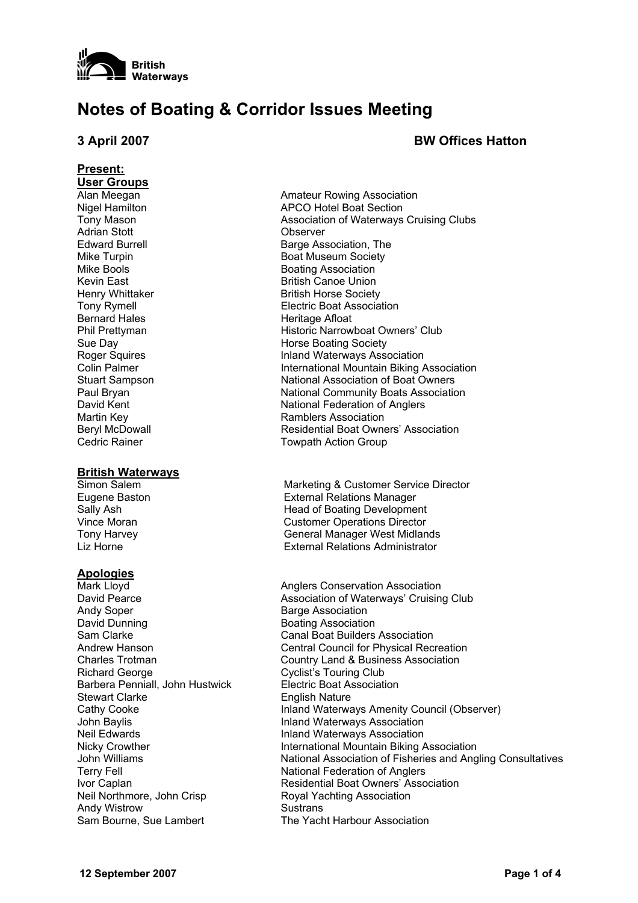

## **Notes of Boating & Corridor Issues Meeting**

### **3 April 2007 BW Offices Hatton**

# **Present: User Groups** Adrian Stott Observer Bernard Hales **Heritage Afloat**

#### **British Waterways**

#### **Apologies**

Andy Soper **Barge Association** David Dunning **Boating Association** Sam Clarke Canal Boat Builders Association Richard George Cyclist's Touring Club Barbera Penniall, John Hustwick Electric Boat Association Stewart Clarke **English Nature** John Baylis **Inland Waterways Association** Neil Edwards Inland Waterways Association Terry Fell **Terry Fell** National Federation of Anglers Neil Northmore, John Crisp Royal Yachting Association Andy Wistrow **Sustrans** Sam Bourne, Sue Lambert The Yacht Harbour Association

Alan Meegan **Amateur Rowing Association** Nigel Hamilton **APCO** Hotel Boat Section Tony Mason Association of Waterways Cruising Clubs Edward Burrell **Barge Association**, The Mike Turpin **Boat Museum Society** Mike Bools **Boating Association** Kevin East **British** Canoe Union Henry Whittaker **British Horse Society** Tony Rymell **Electric Boat Association** Phil Prettyman Historic Narrowboat Owners' Club Sue Day **Horse Boating Society** Roger Squires **Inland Waterways Association** Colin Palmer **International Mountain Biking Association** Stuart Sampson **National Association of Boat Owners**<br>
Paul Bryan **National Community Boats Association** National Community Boats Association David Kent National Federation of Anglers Martin Key **Name Association** Ramblers Association Beryl McDowall **Residential Boat Owners' Association** Cedric Rainer **Towpath Action Group** 

Simon Salem Marketing & Customer Service Director Eugene Baston External Relations Manager Sally Ash **Head of Boating Development** Vince Moran Customer Operations Director Tony Harvey General Manager West Midlands Liz Horne External Relations Administrator

Mark Lloyd **Anglers Conservation Association** Anglers Conservation Association David Pearce **Association of Waterways' Cruising Club** Association of Waterways' Cruising Club Andrew Hanson Central Council for Physical Recreation Charles Trotman Country Land & Business Association Cathy Cooke **Inland Waterways Amenity Council (Observer)** Inland Waterways Amenity Council (Observer) Nicky Crowther **International Mountain Biking Association** John Williams National Association of Fisheries and Angling Consultatives Ivor Caplan **IV Residential Boat Owners' Association**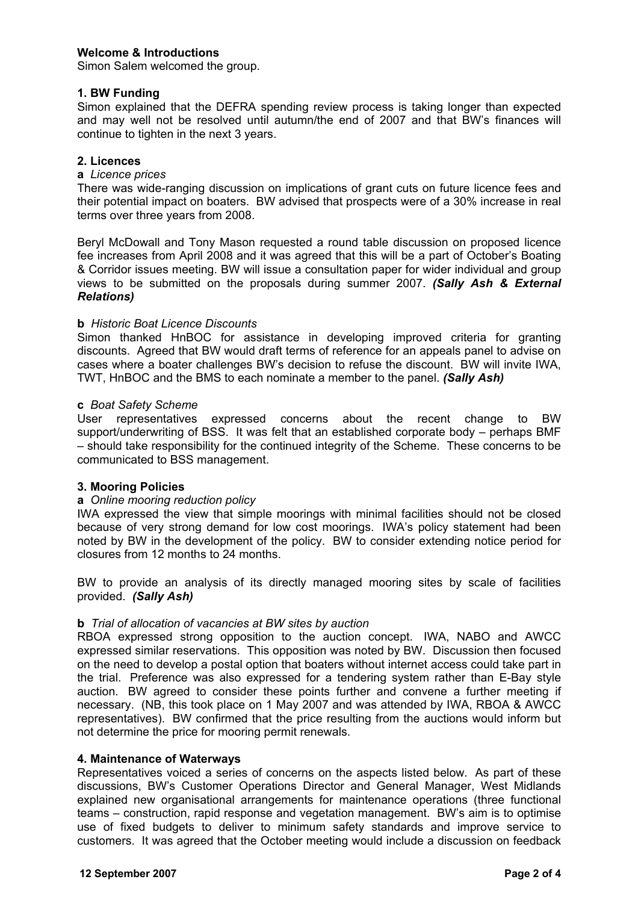### **Welcome & Introductions**

Simon Salem welcomed the group.

#### **1. BW Funding**

Simon explained that the DEFRA spending review process is taking longer than expected and may well not be resolved until autumn/the end of 2007 and that BW's finances will continue to tighten in the next 3 years.

#### **2. Licences**

#### **a** *Licence prices*

There was wide-ranging discussion on implications of grant cuts on future licence fees and their potential impact on boaters. BW advised that prospects were of a 30% increase in real terms over three years from 2008.

Beryl McDowall and Tony Mason requested a round table discussion on proposed licence fee increases from April 2008 and it was agreed that this will be a part of October's Boating & Corridor issues meeting. BW will issue a consultation paper for wider individual and group views to be submitted on the proposals during summer 2007. *(Sally Ash & External Relations)* 

#### **b** *Historic Boat Licence Discounts*

Simon thanked HnBOC for assistance in developing improved criteria for granting discounts. Agreed that BW would draft terms of reference for an appeals panel to advise on cases where a boater challenges BW's decision to refuse the discount. BW will invite IWA, TWT, HnBOC and the BMS to each nominate a member to the panel. *(Sally Ash)*

#### **c** *Boat Safety Scheme*

User representatives expressed concerns about the recent change to BW support/underwriting of BSS. It was felt that an established corporate body – perhaps BMF – should take responsibility for the continued integrity of the Scheme. These concerns to be communicated to BSS management.

#### **3. Mooring Policies**

#### **a** *Online mooring reduction policy*

IWA expressed the view that simple moorings with minimal facilities should not be closed because of very strong demand for low cost moorings. IWA's policy statement had been noted by BW in the development of the policy. BW to consider extending notice period for closures from 12 months to 24 months.

BW to provide an analysis of its directly managed mooring sites by scale of facilities provided. *(Sally Ash)*

#### **b** *Trial of allocation of vacancies at BW sites by auction*

RBOA expressed strong opposition to the auction concept. IWA, NABO and AWCC expressed similar reservations. This opposition was noted by BW. Discussion then focused on the need to develop a postal option that boaters without internet access could take part in the trial. Preference was also expressed for a tendering system rather than E-Bay style auction. BW agreed to consider these points further and convene a further meeting if necessary. (NB, this took place on 1 May 2007 and was attended by IWA, RBOA & AWCC representatives). BW confirmed that the price resulting from the auctions would inform but not determine the price for mooring permit renewals.

#### **4. Maintenance of Waterways**

Representatives voiced a series of concerns on the aspects listed below. As part of these discussions, BW's Customer Operations Director and General Manager, West Midlands explained new organisational arrangements for maintenance operations (three functional teams – construction, rapid response and vegetation management. BW's aim is to optimise use of fixed budgets to deliver to minimum safety standards and improve service to customers. It was agreed that the October meeting would include a discussion on feedback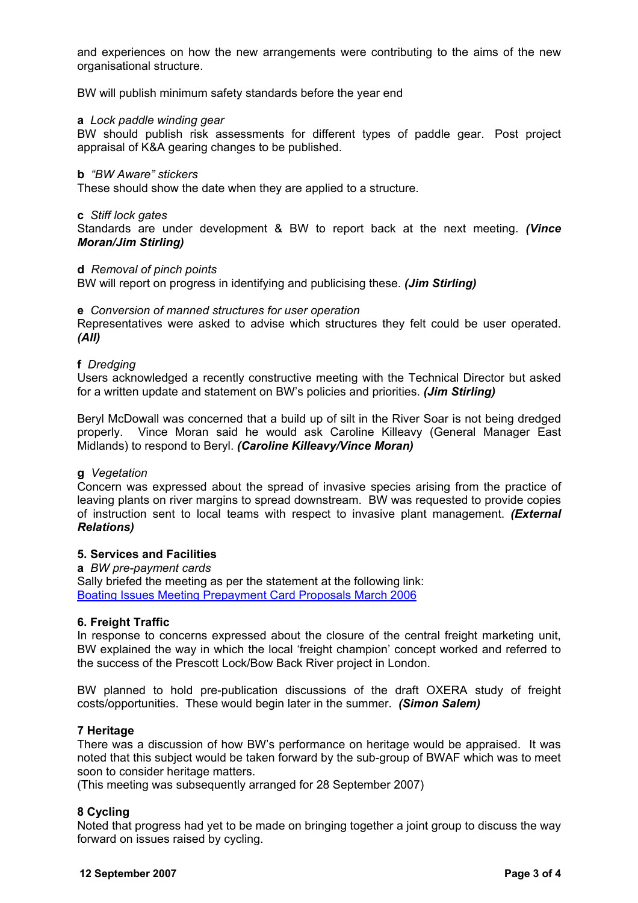and experiences on how the new arrangements were contributing to the aims of the new organisational structure.

BW will publish minimum safety standards before the year end

#### **a** *Lock paddle winding gear*

BW should publish risk assessments for different types of paddle gear. Post project appraisal of K&A gearing changes to be published.

#### **b** *"BW Aware" stickers*

These should show the date when they are applied to a structure.

#### **c** *Stiff lock gates*

Standards are under development & BW to report back at the next meeting. *(Vince Moran/Jim Stirling)*

#### **d** *Removal of pinch points*

BW will report on progress in identifying and publicising these. *(Jim Stirling)*

#### **e** *Conversion of manned structures for user operation*

Representatives were asked to advise which structures they felt could be user operated. *(All)*

#### **f** *Dredging*

Users acknowledged a recently constructive meeting with the Technical Director but asked for a written update and statement on BW's policies and priorities. *(Jim Stirling)*

Beryl McDowall was concerned that a build up of silt in the River Soar is not being dredged properly. Vince Moran said he would ask Caroline Killeavy (General Manager East Midlands) to respond to Beryl. *(Caroline Killeavy/Vince Moran)* 

#### **g** *Vegetation*

Concern was expressed about the spread of invasive species arising from the practice of leaving plants on river margins to spread downstream. BW was requested to provide copies of instruction sent to local teams with respect to invasive plant management. *(External Relations)*

#### **5. Services and Facilities**

**a** *BW pre-payment cards*

Sally briefed the meeting as per the statement at the following link: Boating Issues Meeting Prepayment Card Proposals March 2006

#### **6. Freight Traffic**

In response to concerns expressed about the closure of the central freight marketing unit, BW explained the way in which the local 'freight champion' concept worked and referred to the success of the Prescott Lock/Bow Back River project in London.

BW planned to hold pre-publication discussions of the draft OXERA study of freight costs/opportunities. These would begin later in the summer. *(Simon Salem)*

#### **7 Heritage**

There was a discussion of how BW's performance on heritage would be appraised. It was noted that this subject would be taken forward by the sub-group of BWAF which was to meet soon to consider heritage matters.

(This meeting was subsequently arranged for 28 September 2007)

#### **8 Cycling**

Noted that progress had yet to be made on bringing together a joint group to discuss the way forward on issues raised by cycling.